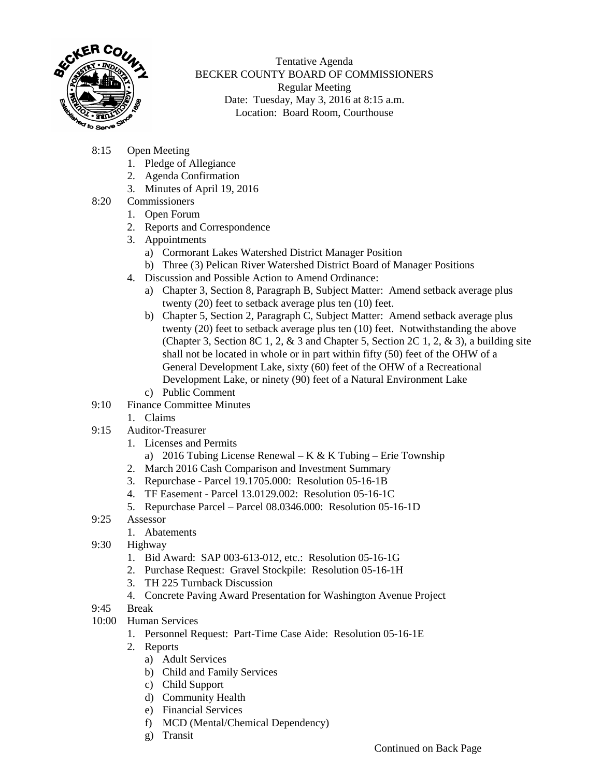

Tentative Agenda BECKER COUNTY BOARD OF COMMISSIONERS Regular Meeting Date: Tuesday, May 3, 2016 at 8:15 a.m. Location: Board Room, Courthouse

- 8:15 Open Meeting
	- 1. Pledge of Allegiance
	- 2. Agenda Confirmation
	- 3. Minutes of April 19, 2016
- 8:20 Commissioners
	- 1. Open Forum
	- 2. Reports and Correspondence
	- 3. Appointments
		- a) Cormorant Lakes Watershed District Manager Position
		- b) Three (3) Pelican River Watershed District Board of Manager Positions
	- 4. Discussion and Possible Action to Amend Ordinance:
		- a) Chapter 3, Section 8, Paragraph B, Subject Matter: Amend setback average plus twenty (20) feet to setback average plus ten (10) feet.
		- b) Chapter 5, Section 2, Paragraph C, Subject Matter: Amend setback average plus twenty (20) feet to setback average plus ten (10) feet. Notwithstanding the above (Chapter 3, Section 8C 1, 2,  $\&$  3 and Chapter 5, Section 2C 1, 2,  $\&$  3), a building site shall not be located in whole or in part within fifty (50) feet of the OHW of a General Development Lake, sixty (60) feet of the OHW of a Recreational Development Lake, or ninety (90) feet of a Natural Environment Lake
		- c) Public Comment
- 9:10 Finance Committee Minutes
	- 1. Claims
- 9:15 Auditor-Treasurer
	- 1. Licenses and Permits
		- a) 2016 Tubing License Renewal K & K Tubing Erie Township
	- 2. March 2016 Cash Comparison and Investment Summary
	- 3. Repurchase Parcel 19.1705.000: Resolution 05-16-1B
	- 4. TF Easement Parcel 13.0129.002: Resolution 05-16-1C
	- 5. Repurchase Parcel Parcel 08.0346.000: Resolution 05-16-1D
- 9:25 Assessor
	- 1. Abatements
- 9:30 Highway
	- 1. Bid Award: SAP 003-613-012, etc.: Resolution 05-16-1G
	- 2. Purchase Request: Gravel Stockpile: Resolution 05-16-1H
	- 3. TH 225 Turnback Discussion
	- 4. Concrete Paving Award Presentation for Washington Avenue Project
- 9:45 Break
- 10:00 Human Services
	- 1. Personnel Request: Part-Time Case Aide: Resolution 05-16-1E
	- 2. Reports
		- a) Adult Services
		- b) Child and Family Services
		- c) Child Support
		- d) Community Health
		- e) Financial Services
		- f) MCD (Mental/Chemical Dependency)
		- g) Transit